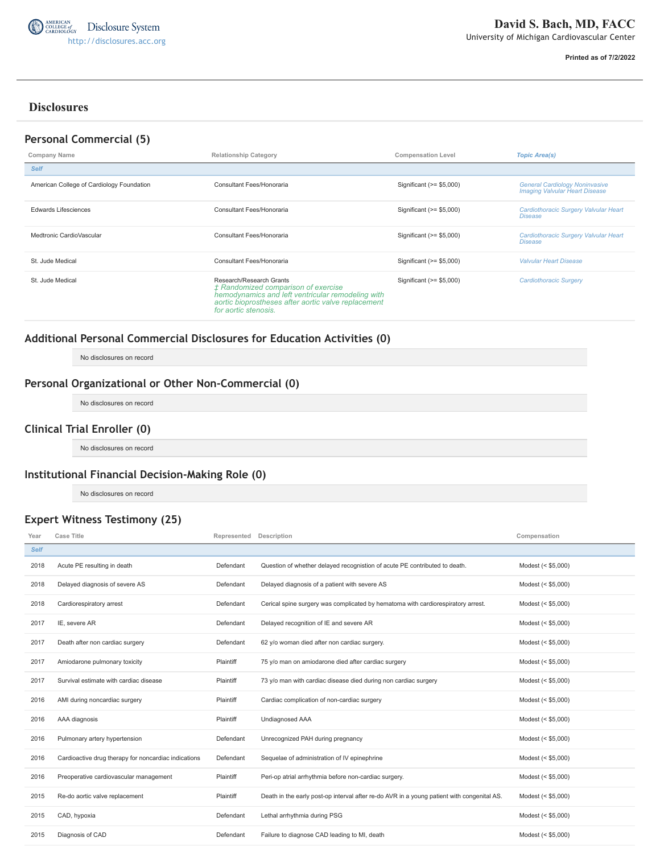

**Printed as of 7/2/2022**

# **Disclosures**

## **Personal Commercial (5)**

| Company Name                              | <b>Compensation Level</b><br><b>Relationship Category</b>                                                                                                                                           |                           | <b>Topic Area(s)</b>                                                           |
|-------------------------------------------|-----------------------------------------------------------------------------------------------------------------------------------------------------------------------------------------------------|---------------------------|--------------------------------------------------------------------------------|
| <b>Self</b>                               |                                                                                                                                                                                                     |                           |                                                                                |
| American College of Cardiology Foundation | Consultant Fees/Honoraria                                                                                                                                                                           | Significant (>= \$5,000)  | <b>General Cardiology Noninvasive</b><br><b>Imaging Valvular Heart Disease</b> |
| Edwards Lifesciences                      | Consultant Fees/Honoraria                                                                                                                                                                           | Significant $(>= $5,000)$ | Cardiothoracic Surgery Valvular Heart<br><b>Disease</b>                        |
| Medtronic CardioVascular                  | Consultant Fees/Honoraria                                                                                                                                                                           | Significant (>= \$5,000)  | Cardiothoracic Surgery Valvular Heart<br><b>Disease</b>                        |
| St. Jude Medical                          | Consultant Fees/Honoraria                                                                                                                                                                           | Significant $(>= $5,000)$ | <b>Valvular Heart Disease</b>                                                  |
| St. Jude Medical                          | Research/Research Grants<br>± Randomized comparison of exercise<br>hemodynamics and left ventricular remodeling with<br>aortic bioprostheses after aortic valve replacement<br>for aortic stenosis. | Significant $(>= $5,000)$ | Cardiothoracic Surgery                                                         |

# **Additional Personal Commercial Disclosures for Education Activities (0)**

No disclosures on record

## **Personal Organizational or Other Non-Commercial (0)**

No disclosures on record

## **Clinical Trial Enroller (0)**

No disclosures on record

## **Institutional Financial Decision-Making Role (0)**

No disclosures on record

## **Expert Witness Testimony (25)**

| Year        | <b>Case Title</b>                                    | Represented Description |                                                                                            | Compensation       |
|-------------|------------------------------------------------------|-------------------------|--------------------------------------------------------------------------------------------|--------------------|
| <b>Self</b> |                                                      |                         |                                                                                            |                    |
| 2018        | Acute PE resulting in death                          | Defendant               | Question of whether delayed recognistion of acute PE contributed to death.                 | Modest (< \$5,000) |
| 2018        | Delayed diagnosis of severe AS                       | Defendant               | Delayed diagnosis of a patient with severe AS                                              | Modest (< \$5,000) |
| 2018        | Cardiorespiratory arrest                             | Defendant               | Cerical spine surgery was complicated by hematoma with cardiorespiratory arrest.           | Modest (< \$5,000) |
| 2017        | IE, severe AR                                        | Defendant               | Delayed recognition of IE and severe AR                                                    | Modest (< \$5,000) |
| 2017        | Death after non cardiac surgery                      | Defendant               | 62 y/o woman died after non cardiac surgery.                                               | Modest (< \$5,000) |
| 2017        | Amiodarone pulmonary toxicity                        | Plaintiff               | 75 y/o man on amiodarone died after cardiac surgery                                        | Modest (< \$5,000) |
| 2017        | Survival estimate with cardiac disease               | Plaintiff               | 73 y/o man with cardiac disease died during non cardiac surgery                            | Modest (< \$5,000) |
| 2016        | AMI during noncardiac surgery                        | Plaintiff               | Cardiac complication of non-cardiac surgery                                                | Modest (< \$5,000) |
| 2016        | AAA diagnosis                                        | Plaintiff               | <b>Undiagnosed AAA</b>                                                                     | Modest (< \$5,000) |
| 2016        | Pulmonary artery hypertension                        | Defendant               | Unrecognized PAH during pregnancy                                                          | Modest (< \$5,000) |
| 2016        | Cardioactive drug therapy for noncardiac indications | Defendant               | Sequelae of administration of IV epinephrine                                               | Modest (< \$5,000) |
| 2016        | Preoperative cardiovascular management               | Plaintiff               | Peri-op atrial arrhythmia before non-cardiac surgery.                                      | Modest (< \$5,000) |
| 2015        | Re-do aortic valve replacement                       | Plaintiff               | Death in the early post-op interval after re-do AVR in a young patient with congenital AS. | Modest (< \$5,000) |
| 2015        | CAD, hypoxia                                         | Defendant               | Lethal arrhythmia during PSG                                                               | Modest (< \$5,000) |
| 2015        | Diagnosis of CAD                                     | Defendant               | Failure to diagnose CAD leading to MI, death                                               | Modest (< \$5,000) |